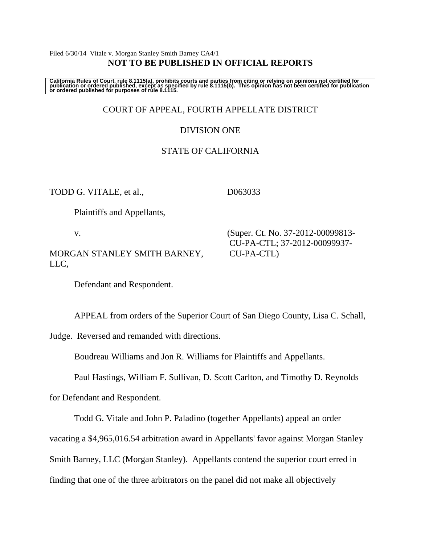### Filed 6/30/14 Vitale v. Morgan Stanley Smith Barney CA4/1 **NOT TO BE PUBLISHED IN OFFICIAL REPORTS**

California Rules of Court, rule 8.1115(a), prohibits courts and parties from citing or relying on opinions not certified for<br>publication or ordered published, except as specified by rule 8.1115(b). This opinion has not be

## COURT OF APPEAL, FOURTH APPELLATE DISTRICT

### DIVISION ONE

## STATE OF CALIFORNIA

TODD G. VITALE, et al.,

D063033

Plaintiffs and Appellants,

v.

MORGAN STANLEY SMITH BARNEY, LLC,

 (Super. Ct. No. 37-2012-00099813- CU-PA-CTL; 37-2012-00099937- CU-PA-CTL)

Defendant and Respondent.

APPEAL from orders of the Superior Court of San Diego County, Lisa C. Schall,

Judge. Reversed and remanded with directions.

Boudreau Williams and Jon R. Williams for Plaintiffs and Appellants.

Paul Hastings, William F. Sullivan, D. Scott Carlton, and Timothy D. Reynolds

for Defendant and Respondent.

Todd G. Vitale and John P. Paladino (together Appellants) appeal an order

vacating a \$4,965,016.54 arbitration award in Appellants' favor against Morgan Stanley

Smith Barney, LLC (Morgan Stanley). Appellants contend the superior court erred in

finding that one of the three arbitrators on the panel did not make all objectively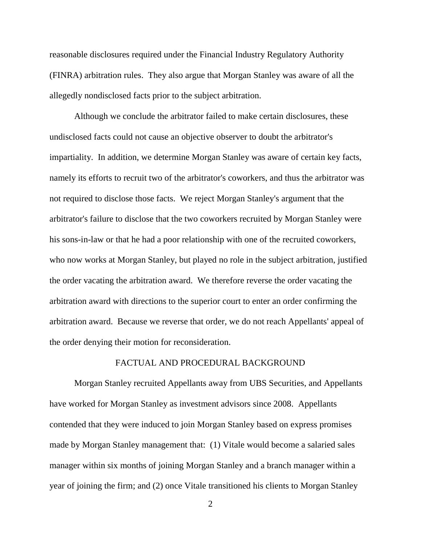reasonable disclosures required under the Financial Industry Regulatory Authority (FINRA) arbitration rules. They also argue that Morgan Stanley was aware of all the allegedly nondisclosed facts prior to the subject arbitration.

Although we conclude the arbitrator failed to make certain disclosures, these undisclosed facts could not cause an objective observer to doubt the arbitrator's impartiality. In addition, we determine Morgan Stanley was aware of certain key facts, namely its efforts to recruit two of the arbitrator's coworkers, and thus the arbitrator was not required to disclose those facts. We reject Morgan Stanley's argument that the arbitrator's failure to disclose that the two coworkers recruited by Morgan Stanley were his sons-in-law or that he had a poor relationship with one of the recruited coworkers, who now works at Morgan Stanley, but played no role in the subject arbitration, justified the order vacating the arbitration award. We therefore reverse the order vacating the arbitration award with directions to the superior court to enter an order confirming the arbitration award. Because we reverse that order, we do not reach Appellants' appeal of the order denying their motion for reconsideration.

## FACTUAL AND PROCEDURAL BACKGROUND

Morgan Stanley recruited Appellants away from UBS Securities, and Appellants have worked for Morgan Stanley as investment advisors since 2008. Appellants contended that they were induced to join Morgan Stanley based on express promises made by Morgan Stanley management that: (1) Vitale would become a salaried sales manager within six months of joining Morgan Stanley and a branch manager within a year of joining the firm; and (2) once Vitale transitioned his clients to Morgan Stanley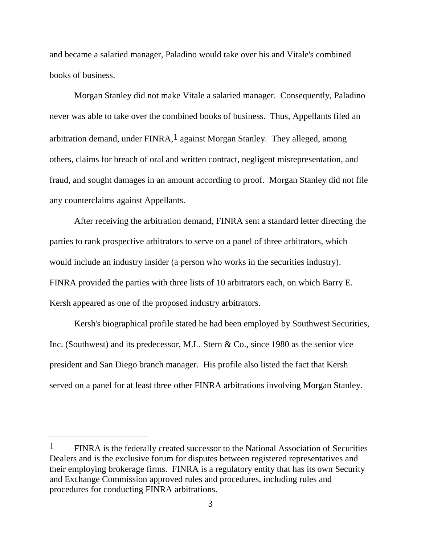and became a salaried manager, Paladino would take over his and Vitale's combined books of business.

Morgan Stanley did not make Vitale a salaried manager. Consequently, Paladino never was able to take over the combined books of business. Thus, Appellants filed an arbitration demand, under  $FINRA$ ,  $\frac{1}{1}$  against Morgan Stanley. They alleged, among others, claims for breach of oral and written contract, negligent misrepresentation, and fraud, and sought damages in an amount according to proof. Morgan Stanley did not file any counterclaims against Appellants.

After receiving the arbitration demand, FINRA sent a standard letter directing the parties to rank prospective arbitrators to serve on a panel of three arbitrators, which would include an industry insider (a person who works in the securities industry). FINRA provided the parties with three lists of 10 arbitrators each, on which Barry E. Kersh appeared as one of the proposed industry arbitrators.

Kersh's biographical profile stated he had been employed by Southwest Securities, Inc. (Southwest) and its predecessor, M.L. Stern & Co., since 1980 as the senior vice president and San Diego branch manager. His profile also listed the fact that Kersh served on a panel for at least three other FINRA arbitrations involving Morgan Stanley.

<sup>1</sup> FINRA is the federally created successor to the National Association of Securities Dealers and is the exclusive forum for disputes between registered representatives and their employing brokerage firms. FINRA is a regulatory entity that has its own Security and Exchange Commission approved rules and procedures, including rules and procedures for conducting FINRA arbitrations.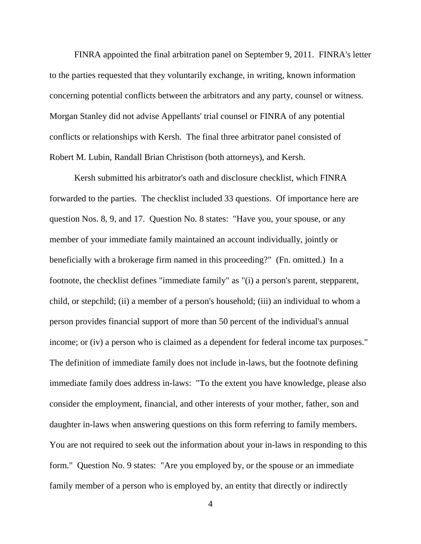FINRA appointed the final arbitration panel on September 9, 2011. FINRA's letter to the parties requested that they voluntarily exchange, in writing, known information concerning potential conflicts between the arbitrators and any party, counsel or witness. Morgan Stanley did not advise Appellants' trial counsel or FINRA of any potential conflicts or relationships with Kersh. The final three arbitrator panel consisted of Robert M. Lubin, Randall Brian Christison (both attorneys), and Kersh.

Kersh submitted his arbitrator's oath and disclosure checklist, which FINRA forwarded to the parties. The checklist included 33 questions. Of importance here are question Nos. 8, 9, and 17. Question No. 8 states: "Have you, your spouse, or any member of your immediate family maintained an account individually, jointly or beneficially with a brokerage firm named in this proceeding?" (Fn. omitted.) In a footnote, the checklist defines "immediate family" as "(i) a person's parent, stepparent, child, or stepchild; (ii) a member of a person's household; (iii) an individual to whom a person provides financial support of more than 50 percent of the individual's annual income; or (iv) a person who is claimed as a dependent for federal income tax purposes." The definition of immediate family does not include in-laws, but the footnote defining immediate family does address in-laws: "To the extent you have knowledge, please also consider the employment, financial, and other interests of your mother, father, son and daughter in-laws when answering questions on this form referring to family members. You are not required to seek out the information about your in-laws in responding to this form." Question No. 9 states: "Are you employed by, or the spouse or an immediate family member of a person who is employed by, an entity that directly or indirectly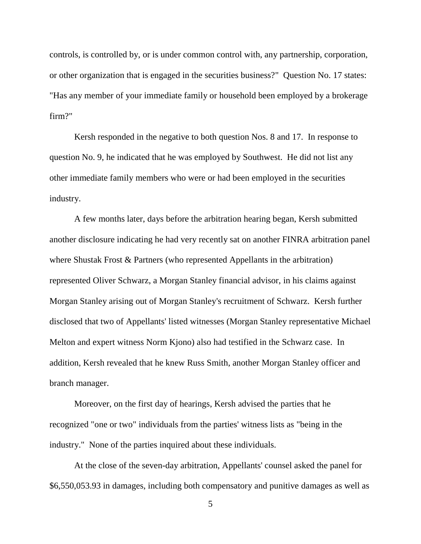controls, is controlled by, or is under common control with, any partnership, corporation, or other organization that is engaged in the securities business?" Question No. 17 states: "Has any member of your immediate family or household been employed by a brokerage firm?"

Kersh responded in the negative to both question Nos. 8 and 17. In response to question No. 9, he indicated that he was employed by Southwest. He did not list any other immediate family members who were or had been employed in the securities industry.

A few months later, days before the arbitration hearing began, Kersh submitted another disclosure indicating he had very recently sat on another FINRA arbitration panel where Shustak Frost & Partners (who represented Appellants in the arbitration) represented Oliver Schwarz, a Morgan Stanley financial advisor, in his claims against Morgan Stanley arising out of Morgan Stanley's recruitment of Schwarz. Kersh further disclosed that two of Appellants' listed witnesses (Morgan Stanley representative Michael Melton and expert witness Norm Kjono) also had testified in the Schwarz case. In addition, Kersh revealed that he knew Russ Smith, another Morgan Stanley officer and branch manager.

Moreover, on the first day of hearings, Kersh advised the parties that he recognized "one or two" individuals from the parties' witness lists as "being in the industry." None of the parties inquired about these individuals.

At the close of the seven-day arbitration, Appellants' counsel asked the panel for \$6,550,053.93 in damages, including both compensatory and punitive damages as well as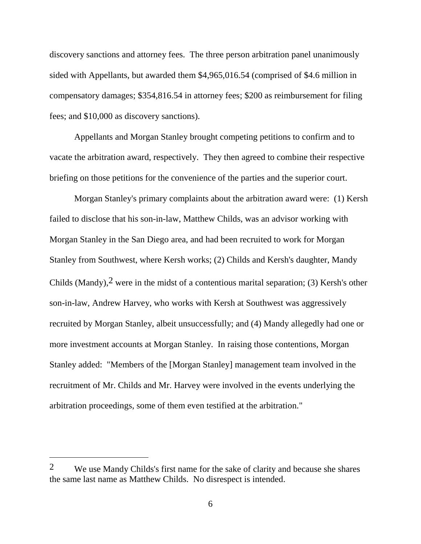discovery sanctions and attorney fees. The three person arbitration panel unanimously sided with Appellants, but awarded them \$4,965,016.54 (comprised of \$4.6 million in compensatory damages; \$354,816.54 in attorney fees; \$200 as reimbursement for filing fees; and \$10,000 as discovery sanctions).

Appellants and Morgan Stanley brought competing petitions to confirm and to vacate the arbitration award, respectively. They then agreed to combine their respective briefing on those petitions for the convenience of the parties and the superior court.

Morgan Stanley's primary complaints about the arbitration award were: (1) Kersh failed to disclose that his son-in-law, Matthew Childs, was an advisor working with Morgan Stanley in the San Diego area, and had been recruited to work for Morgan Stanley from Southwest, where Kersh works; (2) Childs and Kersh's daughter, Mandy Childs (Mandy),2 were in the midst of a contentious marital separation; (3) Kersh's other son-in-law, Andrew Harvey, who works with Kersh at Southwest was aggressively recruited by Morgan Stanley, albeit unsuccessfully; and (4) Mandy allegedly had one or more investment accounts at Morgan Stanley. In raising those contentions, Morgan Stanley added: "Members of the [Morgan Stanley] management team involved in the recruitment of Mr. Childs and Mr. Harvey were involved in the events underlying the arbitration proceedings, some of them even testified at the arbitration."

<sup>&</sup>lt;sup>2</sup> We use Mandy Childs's first name for the sake of clarity and because she shares the same last name as Matthew Childs. No disrespect is intended.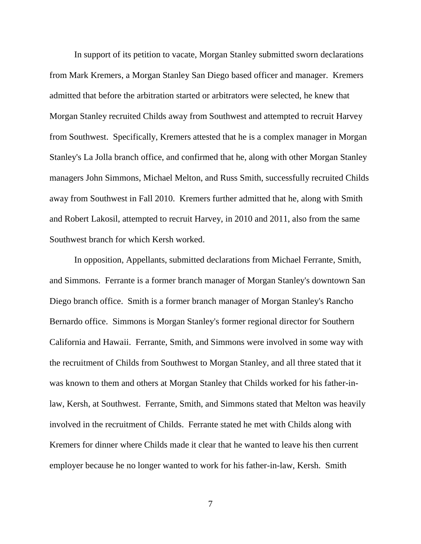In support of its petition to vacate, Morgan Stanley submitted sworn declarations from Mark Kremers, a Morgan Stanley San Diego based officer and manager. Kremers admitted that before the arbitration started or arbitrators were selected, he knew that Morgan Stanley recruited Childs away from Southwest and attempted to recruit Harvey from Southwest. Specifically, Kremers attested that he is a complex manager in Morgan Stanley's La Jolla branch office, and confirmed that he, along with other Morgan Stanley managers John Simmons, Michael Melton, and Russ Smith, successfully recruited Childs away from Southwest in Fall 2010. Kremers further admitted that he, along with Smith and Robert Lakosil, attempted to recruit Harvey, in 2010 and 2011, also from the same Southwest branch for which Kersh worked.

In opposition, Appellants, submitted declarations from Michael Ferrante, Smith, and Simmons. Ferrante is a former branch manager of Morgan Stanley's downtown San Diego branch office. Smith is a former branch manager of Morgan Stanley's Rancho Bernardo office. Simmons is Morgan Stanley's former regional director for Southern California and Hawaii. Ferrante, Smith, and Simmons were involved in some way with the recruitment of Childs from Southwest to Morgan Stanley, and all three stated that it was known to them and others at Morgan Stanley that Childs worked for his father-inlaw, Kersh, at Southwest. Ferrante, Smith, and Simmons stated that Melton was heavily involved in the recruitment of Childs. Ferrante stated he met with Childs along with Kremers for dinner where Childs made it clear that he wanted to leave his then current employer because he no longer wanted to work for his father-in-law, Kersh. Smith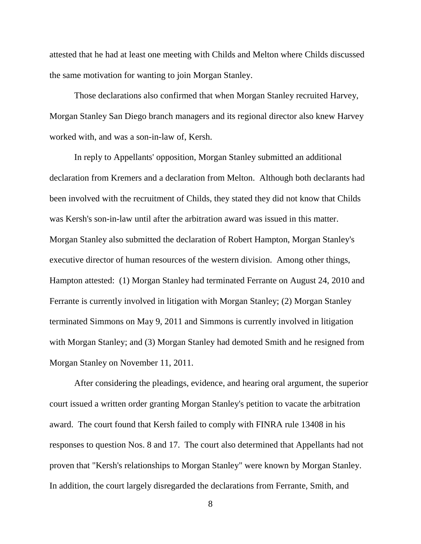attested that he had at least one meeting with Childs and Melton where Childs discussed the same motivation for wanting to join Morgan Stanley.

Those declarations also confirmed that when Morgan Stanley recruited Harvey, Morgan Stanley San Diego branch managers and its regional director also knew Harvey worked with, and was a son-in-law of, Kersh.

In reply to Appellants' opposition, Morgan Stanley submitted an additional declaration from Kremers and a declaration from Melton. Although both declarants had been involved with the recruitment of Childs, they stated they did not know that Childs was Kersh's son-in-law until after the arbitration award was issued in this matter. Morgan Stanley also submitted the declaration of Robert Hampton, Morgan Stanley's executive director of human resources of the western division. Among other things, Hampton attested: (1) Morgan Stanley had terminated Ferrante on August 24, 2010 and Ferrante is currently involved in litigation with Morgan Stanley; (2) Morgan Stanley terminated Simmons on May 9, 2011 and Simmons is currently involved in litigation with Morgan Stanley; and (3) Morgan Stanley had demoted Smith and he resigned from Morgan Stanley on November 11, 2011.

After considering the pleadings, evidence, and hearing oral argument, the superior court issued a written order granting Morgan Stanley's petition to vacate the arbitration award. The court found that Kersh failed to comply with FINRA rule 13408 in his responses to question Nos. 8 and 17. The court also determined that Appellants had not proven that "Kersh's relationships to Morgan Stanley" were known by Morgan Stanley. In addition, the court largely disregarded the declarations from Ferrante, Smith, and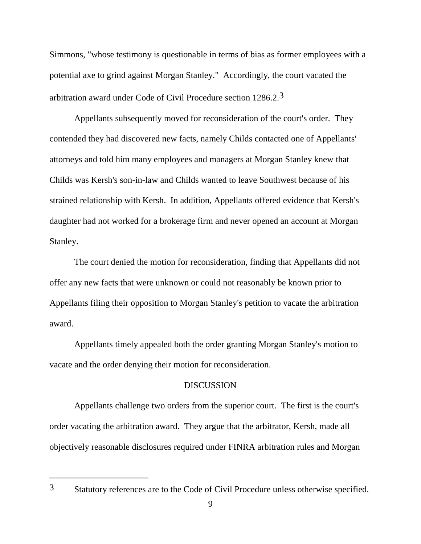Simmons, "whose testimony is questionable in terms of bias as former employees with a potential axe to grind against Morgan Stanley." Accordingly, the court vacated the arbitration award under Code of Civil Procedure section 1286.2.3

Appellants subsequently moved for reconsideration of the court's order. They contended they had discovered new facts, namely Childs contacted one of Appellants' attorneys and told him many employees and managers at Morgan Stanley knew that Childs was Kersh's son-in-law and Childs wanted to leave Southwest because of his strained relationship with Kersh. In addition, Appellants offered evidence that Kersh's daughter had not worked for a brokerage firm and never opened an account at Morgan Stanley.

The court denied the motion for reconsideration, finding that Appellants did not offer any new facts that were unknown or could not reasonably be known prior to Appellants filing their opposition to Morgan Stanley's petition to vacate the arbitration award.

Appellants timely appealed both the order granting Morgan Stanley's motion to vacate and the order denying their motion for reconsideration.

# **DISCUSSION**

Appellants challenge two orders from the superior court. The first is the court's order vacating the arbitration award. They argue that the arbitrator, Kersh, made all objectively reasonable disclosures required under FINRA arbitration rules and Morgan

 $\overline{a}$ 

<sup>3</sup> Statutory references are to the Code of Civil Procedure unless otherwise specified.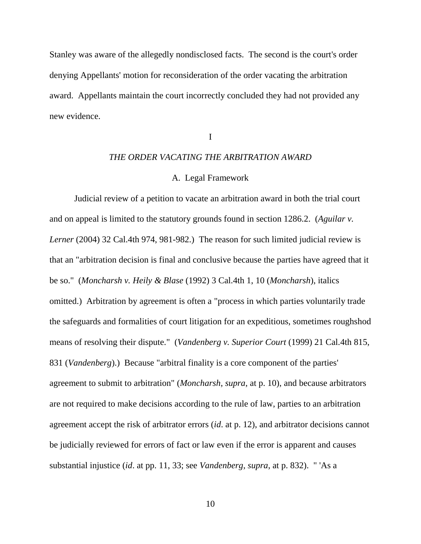Stanley was aware of the allegedly nondisclosed facts. The second is the court's order denying Appellants' motion for reconsideration of the order vacating the arbitration award. Appellants maintain the court incorrectly concluded they had not provided any new evidence.

## I

## *THE ORDER VACATING THE ARBITRATION AWARD*

## A. Legal Framework

Judicial review of a petition to vacate an arbitration award in both the trial court and on appeal is limited to the statutory grounds found in section 1286.2. (*Aguilar v. Lerner* (2004) 32 Cal.4th 974, 981-982.) The reason for such limited judicial review is that an "arbitration decision is final and conclusive because the parties have agreed that it be so." (*Moncharsh v. Heily & Blase* (1992) 3 Cal.4th 1, 10 (*Moncharsh*), italics omitted.) Arbitration by agreement is often a "process in which parties voluntarily trade the safeguards and formalities of court litigation for an expeditious, sometimes roughshod means of resolving their dispute." (*Vandenberg v. Superior Court* (1999) 21 Cal.4th 815, 831 (*Vandenberg*).) Because "arbitral finality is a core component of the parties' agreement to submit to arbitration" (*Moncharsh*, *supra*, at p. 10), and because arbitrators are not required to make decisions according to the rule of law, parties to an arbitration agreement accept the risk of arbitrator errors (*id*. at p. 12), and arbitrator decisions cannot be judicially reviewed for errors of fact or law even if the error is apparent and causes substantial injustice (*id*. at pp. 11, 33; see *Vandenberg*, *supra*, at p. 832). " 'As a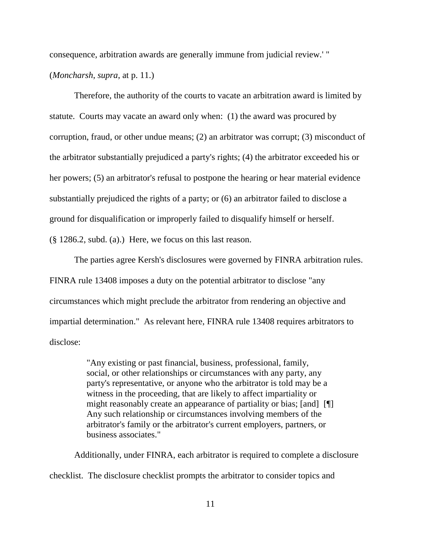consequence, arbitration awards are generally immune from judicial review.' "

(*Moncharsh*, *supra*, at p. 11.)

Therefore, the authority of the courts to vacate an arbitration award is limited by statute. Courts may vacate an award only when: (1) the award was procured by corruption, fraud, or other undue means; (2) an arbitrator was corrupt; (3) misconduct of the arbitrator substantially prejudiced a party's rights; (4) the arbitrator exceeded his or her powers; (5) an arbitrator's refusal to postpone the hearing or hear material evidence substantially prejudiced the rights of a party; or (6) an arbitrator failed to disclose a ground for disqualification or improperly failed to disqualify himself or herself. (§ 1286.2, subd. (a).) Here, we focus on this last reason.

The parties agree Kersh's disclosures were governed by FINRA arbitration rules. FINRA rule 13408 imposes a duty on the potential arbitrator to disclose "any circumstances which might preclude the arbitrator from rendering an objective and impartial determination." As relevant here, FINRA rule 13408 requires arbitrators to disclose:

> "Any existing or past financial, business, professional, family, social, or other relationships or circumstances with any party, any party's representative, or anyone who the arbitrator is told may be a witness in the proceeding, that are likely to affect impartiality or might reasonably create an appearance of partiality or bias; [and] [[]] Any such relationship or circumstances involving members of the arbitrator's family or the arbitrator's current employers, partners, or business associates."

Additionally, under FINRA, each arbitrator is required to complete a disclosure checklist. The disclosure checklist prompts the arbitrator to consider topics and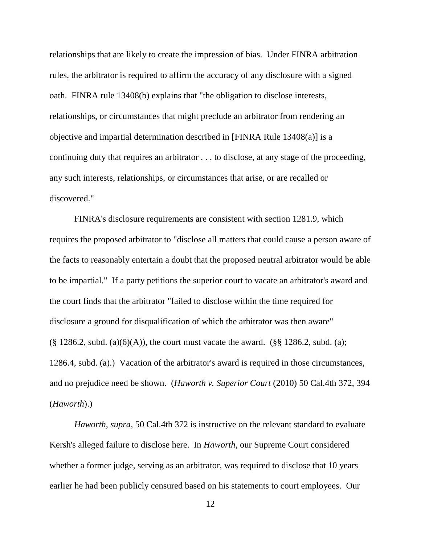relationships that are likely to create the impression of bias. Under FINRA arbitration rules, the arbitrator is required to affirm the accuracy of any disclosure with a signed oath. FINRA rule 13408(b) explains that "the obligation to disclose interests, relationships, or circumstances that might preclude an arbitrator from rendering an objective and impartial determination described in [FINRA Rule 13408(a)] is a continuing duty that requires an arbitrator . . . to disclose, at any stage of the proceeding, any such interests, relationships, or circumstances that arise, or are recalled or discovered."

FINRA's disclosure requirements are consistent with section 1281.9, which requires the proposed arbitrator to "disclose all matters that could cause a person aware of the facts to reasonably entertain a doubt that the proposed neutral arbitrator would be able to be impartial." If a party petitions the superior court to vacate an arbitrator's award and the court finds that the arbitrator "failed to disclose within the time required for disclosure a ground for disqualification of which the arbitrator was then aware"  $(\S 1286.2, \text{subd.} (a)(6)(A))$ , the court must vacate the award.  $(\S \S 1286.2, \text{subd.} (a))$ ; 1286.4, subd. (a).) Vacation of the arbitrator's award is required in those circumstances, and no prejudice need be shown. (*Haworth v. Superior Court* (2010) 50 Cal.4th 372, 394 (*Haworth*).)

*Haworth*, *supra*, 50 Cal.4th 372 is instructive on the relevant standard to evaluate Kersh's alleged failure to disclose here. In *Haworth*, our Supreme Court considered whether a former judge, serving as an arbitrator, was required to disclose that 10 years earlier he had been publicly censured based on his statements to court employees. Our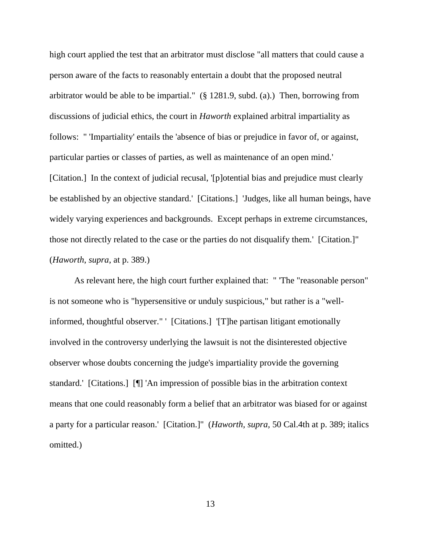high court applied the test that an arbitrator must disclose "all matters that could cause a person aware of the facts to reasonably entertain a doubt that the proposed neutral arbitrator would be able to be impartial." (§ 1281.9, subd. (a).) Then, borrowing from discussions of judicial ethics, the court in *Haworth* explained arbitral impartiality as follows: " 'Impartiality' entails the 'absence of bias or prejudice in favor of, or against, particular parties or classes of parties, as well as maintenance of an open mind.' [Citation.] In the context of judicial recusal, '[p]otential bias and prejudice must clearly be established by an objective standard.' [Citations.] 'Judges, like all human beings, have widely varying experiences and backgrounds. Except perhaps in extreme circumstances, those not directly related to the case or the parties do not disqualify them.' [Citation.]" (*Haworth*, *supra*, at p. 389.)

As relevant here, the high court further explained that: " 'The "reasonable person" is not someone who is "hypersensitive or unduly suspicious," but rather is a "wellinformed, thoughtful observer." ' [Citations.] '[T]he partisan litigant emotionally involved in the controversy underlying the lawsuit is not the disinterested objective observer whose doubts concerning the judge's impartiality provide the governing standard.' [Citations.] [¶] 'An impression of possible bias in the arbitration context means that one could reasonably form a belief that an arbitrator was biased for or against a party for a particular reason.' [Citation.]" (*Haworth, supra,* 50 Cal.4th at p. 389; italics omitted.)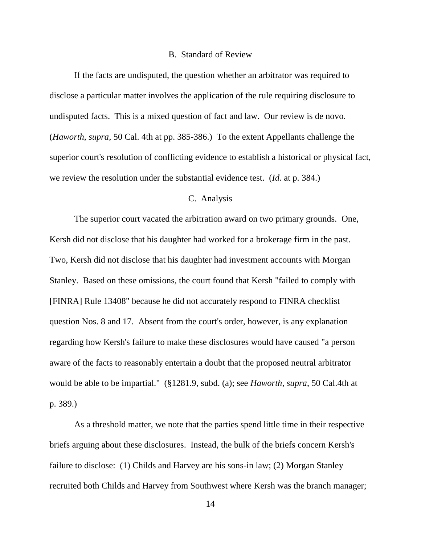#### B. Standard of Review

If the facts are undisputed, the question whether an arbitrator was required to disclose a particular matter involves the application of the rule requiring disclosure to undisputed facts. This is a mixed question of fact and law. Our review is de novo. (*Haworth*, *supra*, 50 Cal. 4th at pp. 385-386.) To the extent Appellants challenge the superior court's resolution of conflicting evidence to establish a historical or physical fact, we review the resolution under the substantial evidence test. (*Id.* at p. 384.)

#### C. Analysis

The superior court vacated the arbitration award on two primary grounds. One, Kersh did not disclose that his daughter had worked for a brokerage firm in the past. Two, Kersh did not disclose that his daughter had investment accounts with Morgan Stanley. Based on these omissions, the court found that Kersh "failed to comply with [FINRA] Rule 13408" because he did not accurately respond to FINRA checklist question Nos. 8 and 17. Absent from the court's order, however, is any explanation regarding how Kersh's failure to make these disclosures would have caused "a person aware of the facts to reasonably entertain a doubt that the proposed neutral arbitrator would be able to be impartial." (§1281.9, subd. (a); see *Haworth*, *supra*, 50 Cal.4th at p. 389.)

As a threshold matter, we note that the parties spend little time in their respective briefs arguing about these disclosures. Instead, the bulk of the briefs concern Kersh's failure to disclose: (1) Childs and Harvey are his sons-in law; (2) Morgan Stanley recruited both Childs and Harvey from Southwest where Kersh was the branch manager;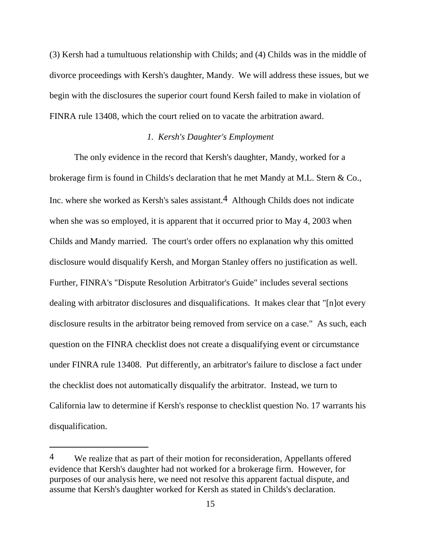(3) Kersh had a tumultuous relationship with Childs; and (4) Childs was in the middle of divorce proceedings with Kersh's daughter, Mandy. We will address these issues, but we begin with the disclosures the superior court found Kersh failed to make in violation of FINRA rule 13408, which the court relied on to vacate the arbitration award.

### *1. Kersh's Daughter's Employment*

The only evidence in the record that Kersh's daughter, Mandy, worked for a brokerage firm is found in Childs's declaration that he met Mandy at M.L. Stern & Co., Inc. where she worked as Kersh's sales assistant.4 Although Childs does not indicate when she was so employed, it is apparent that it occurred prior to May 4, 2003 when Childs and Mandy married. The court's order offers no explanation why this omitted disclosure would disqualify Kersh, and Morgan Stanley offers no justification as well. Further, FINRA's "Dispute Resolution Arbitrator's Guide" includes several sections dealing with arbitrator disclosures and disqualifications. It makes clear that "[n]ot every disclosure results in the arbitrator being removed from service on a case." As such, each question on the FINRA checklist does not create a disqualifying event or circumstance under FINRA rule 13408. Put differently, an arbitrator's failure to disclose a fact under the checklist does not automatically disqualify the arbitrator. Instead, we turn to California law to determine if Kersh's response to checklist question No. 17 warrants his disqualification.

<sup>4</sup> We realize that as part of their motion for reconsideration, Appellants offered evidence that Kersh's daughter had not worked for a brokerage firm. However, for purposes of our analysis here, we need not resolve this apparent factual dispute, and assume that Kersh's daughter worked for Kersh as stated in Childs's declaration.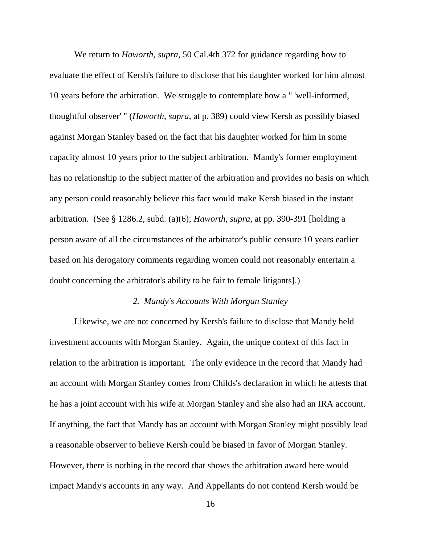We return to *Haworth*, *supra*, 50 Cal.4th 372 for guidance regarding how to evaluate the effect of Kersh's failure to disclose that his daughter worked for him almost 10 years before the arbitration. We struggle to contemplate how a " 'well-informed, thoughtful observer' " (*Haworth*, *supra*, at p. 389) could view Kersh as possibly biased against Morgan Stanley based on the fact that his daughter worked for him in some capacity almost 10 years prior to the subject arbitration. Mandy's former employment has no relationship to the subject matter of the arbitration and provides no basis on which any person could reasonably believe this fact would make Kersh biased in the instant arbitration. (See § 1286.2, subd. (a)(6); *Haworth*, *supra*, at pp. 390-391 [holding a person aware of all the circumstances of the arbitrator's public censure 10 years earlier based on his derogatory comments regarding women could not reasonably entertain a doubt concerning the arbitrator's ability to be fair to female litigants].)

#### *2. Mandy's Accounts With Morgan Stanley*

Likewise, we are not concerned by Kersh's failure to disclose that Mandy held investment accounts with Morgan Stanley. Again, the unique context of this fact in relation to the arbitration is important. The only evidence in the record that Mandy had an account with Morgan Stanley comes from Childs's declaration in which he attests that he has a joint account with his wife at Morgan Stanley and she also had an IRA account. If anything, the fact that Mandy has an account with Morgan Stanley might possibly lead a reasonable observer to believe Kersh could be biased in favor of Morgan Stanley. However, there is nothing in the record that shows the arbitration award here would impact Mandy's accounts in any way. And Appellants do not contend Kersh would be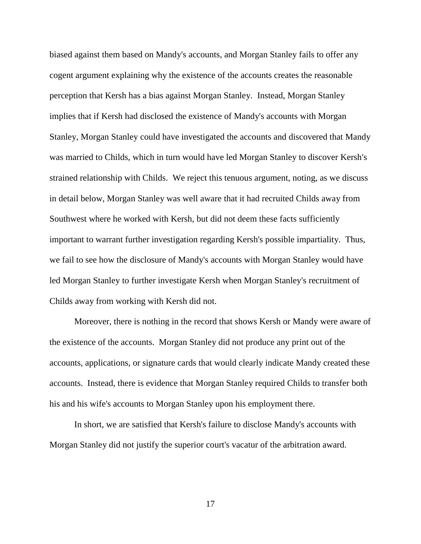biased against them based on Mandy's accounts, and Morgan Stanley fails to offer any cogent argument explaining why the existence of the accounts creates the reasonable perception that Kersh has a bias against Morgan Stanley. Instead, Morgan Stanley implies that if Kersh had disclosed the existence of Mandy's accounts with Morgan Stanley, Morgan Stanley could have investigated the accounts and discovered that Mandy was married to Childs, which in turn would have led Morgan Stanley to discover Kersh's strained relationship with Childs. We reject this tenuous argument, noting, as we discuss in detail below, Morgan Stanley was well aware that it had recruited Childs away from Southwest where he worked with Kersh, but did not deem these facts sufficiently important to warrant further investigation regarding Kersh's possible impartiality. Thus, we fail to see how the disclosure of Mandy's accounts with Morgan Stanley would have led Morgan Stanley to further investigate Kersh when Morgan Stanley's recruitment of Childs away from working with Kersh did not.

Moreover, there is nothing in the record that shows Kersh or Mandy were aware of the existence of the accounts. Morgan Stanley did not produce any print out of the accounts, applications, or signature cards that would clearly indicate Mandy created these accounts. Instead, there is evidence that Morgan Stanley required Childs to transfer both his and his wife's accounts to Morgan Stanley upon his employment there.

In short, we are satisfied that Kersh's failure to disclose Mandy's accounts with Morgan Stanley did not justify the superior court's vacatur of the arbitration award.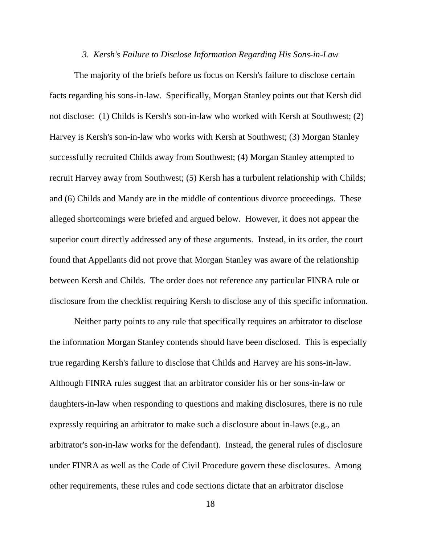#### *3. Kersh's Failure to Disclose Information Regarding His Sons-in-Law*

The majority of the briefs before us focus on Kersh's failure to disclose certain facts regarding his sons-in-law. Specifically, Morgan Stanley points out that Kersh did not disclose: (1) Childs is Kersh's son-in-law who worked with Kersh at Southwest; (2) Harvey is Kersh's son-in-law who works with Kersh at Southwest; (3) Morgan Stanley successfully recruited Childs away from Southwest; (4) Morgan Stanley attempted to recruit Harvey away from Southwest; (5) Kersh has a turbulent relationship with Childs; and (6) Childs and Mandy are in the middle of contentious divorce proceedings. These alleged shortcomings were briefed and argued below. However, it does not appear the superior court directly addressed any of these arguments. Instead, in its order, the court found that Appellants did not prove that Morgan Stanley was aware of the relationship between Kersh and Childs. The order does not reference any particular FINRA rule or disclosure from the checklist requiring Kersh to disclose any of this specific information.

Neither party points to any rule that specifically requires an arbitrator to disclose the information Morgan Stanley contends should have been disclosed. This is especially true regarding Kersh's failure to disclose that Childs and Harvey are his sons-in-law. Although FINRA rules suggest that an arbitrator consider his or her sons-in-law or daughters-in-law when responding to questions and making disclosures, there is no rule expressly requiring an arbitrator to make such a disclosure about in-laws (e.g., an arbitrator's son-in-law works for the defendant). Instead, the general rules of disclosure under FINRA as well as the Code of Civil Procedure govern these disclosures. Among other requirements, these rules and code sections dictate that an arbitrator disclose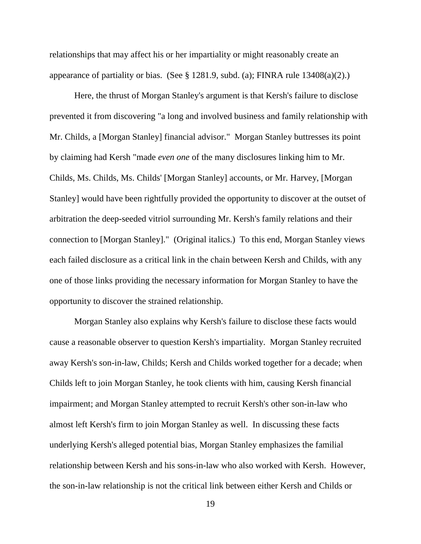relationships that may affect his or her impartiality or might reasonably create an appearance of partiality or bias. (See  $\S$  1281.9, subd. (a); FINRA rule 13408(a)(2).)

Here, the thrust of Morgan Stanley's argument is that Kersh's failure to disclose prevented it from discovering "a long and involved business and family relationship with Mr. Childs, a [Morgan Stanley] financial advisor." Morgan Stanley buttresses its point by claiming had Kersh "made *even one* of the many disclosures linking him to Mr. Childs, Ms. Childs, Ms. Childs' [Morgan Stanley] accounts, or Mr. Harvey, [Morgan Stanley] would have been rightfully provided the opportunity to discover at the outset of arbitration the deep-seeded vitriol surrounding Mr. Kersh's family relations and their connection to [Morgan Stanley]." (Original italics.) To this end, Morgan Stanley views each failed disclosure as a critical link in the chain between Kersh and Childs, with any one of those links providing the necessary information for Morgan Stanley to have the opportunity to discover the strained relationship.

Morgan Stanley also explains why Kersh's failure to disclose these facts would cause a reasonable observer to question Kersh's impartiality. Morgan Stanley recruited away Kersh's son-in-law, Childs; Kersh and Childs worked together for a decade; when Childs left to join Morgan Stanley, he took clients with him, causing Kersh financial impairment; and Morgan Stanley attempted to recruit Kersh's other son-in-law who almost left Kersh's firm to join Morgan Stanley as well. In discussing these facts underlying Kersh's alleged potential bias, Morgan Stanley emphasizes the familial relationship between Kersh and his sons-in-law who also worked with Kersh. However, the son-in-law relationship is not the critical link between either Kersh and Childs or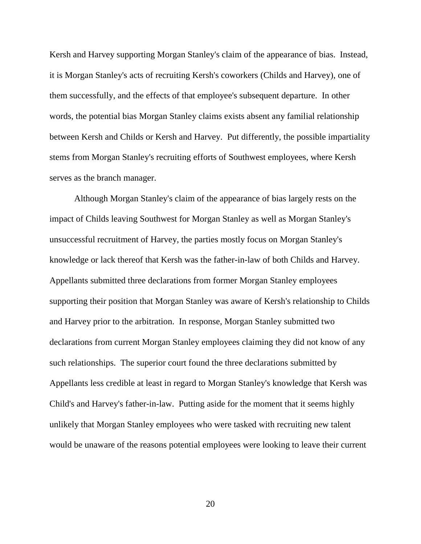Kersh and Harvey supporting Morgan Stanley's claim of the appearance of bias. Instead, it is Morgan Stanley's acts of recruiting Kersh's coworkers (Childs and Harvey), one of them successfully, and the effects of that employee's subsequent departure. In other words, the potential bias Morgan Stanley claims exists absent any familial relationship between Kersh and Childs or Kersh and Harvey. Put differently, the possible impartiality stems from Morgan Stanley's recruiting efforts of Southwest employees, where Kersh serves as the branch manager.

Although Morgan Stanley's claim of the appearance of bias largely rests on the impact of Childs leaving Southwest for Morgan Stanley as well as Morgan Stanley's unsuccessful recruitment of Harvey, the parties mostly focus on Morgan Stanley's knowledge or lack thereof that Kersh was the father-in-law of both Childs and Harvey. Appellants submitted three declarations from former Morgan Stanley employees supporting their position that Morgan Stanley was aware of Kersh's relationship to Childs and Harvey prior to the arbitration. In response, Morgan Stanley submitted two declarations from current Morgan Stanley employees claiming they did not know of any such relationships. The superior court found the three declarations submitted by Appellants less credible at least in regard to Morgan Stanley's knowledge that Kersh was Child's and Harvey's father-in-law. Putting aside for the moment that it seems highly unlikely that Morgan Stanley employees who were tasked with recruiting new talent would be unaware of the reasons potential employees were looking to leave their current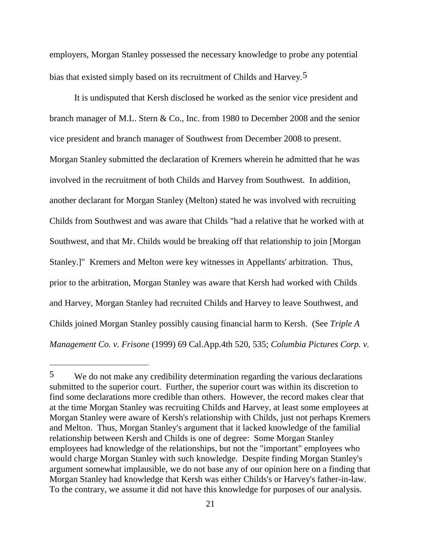employers, Morgan Stanley possessed the necessary knowledge to probe any potential bias that existed simply based on its recruitment of Childs and Harvey.5

It is undisputed that Kersh disclosed he worked as the senior vice president and branch manager of M.L. Stern & Co., Inc. from 1980 to December 2008 and the senior vice president and branch manager of Southwest from December 2008 to present. Morgan Stanley submitted the declaration of Kremers wherein he admitted that he was involved in the recruitment of both Childs and Harvey from Southwest. In addition, another declarant for Morgan Stanley (Melton) stated he was involved with recruiting Childs from Southwest and was aware that Childs "had a relative that he worked with at Southwest, and that Mr. Childs would be breaking off that relationship to join [Morgan Stanley.]" Kremers and Melton were key witnesses in Appellants' arbitration. Thus, prior to the arbitration, Morgan Stanley was aware that Kersh had worked with Childs and Harvey, Morgan Stanley had recruited Childs and Harvey to leave Southwest, and Childs joined Morgan Stanley possibly causing financial harm to Kersh. (See *Triple A Management Co. v. Frisone* (1999) 69 Cal.App.4th 520, 535; *Columbia Pictures Corp. v.* 

<sup>5</sup> We do not make any credibility determination regarding the various declarations submitted to the superior court. Further, the superior court was within its discretion to find some declarations more credible than others. However, the record makes clear that at the time Morgan Stanley was recruiting Childs and Harvey, at least some employees at Morgan Stanley were aware of Kersh's relationship with Childs, just not perhaps Kremers and Melton. Thus, Morgan Stanley's argument that it lacked knowledge of the familial relationship between Kersh and Childs is one of degree: Some Morgan Stanley employees had knowledge of the relationships, but not the "important" employees who would charge Morgan Stanley with such knowledge. Despite finding Morgan Stanley's argument somewhat implausible, we do not base any of our opinion here on a finding that Morgan Stanley had knowledge that Kersh was either Childs's or Harvey's father-in-law. To the contrary, we assume it did not have this knowledge for purposes of our analysis.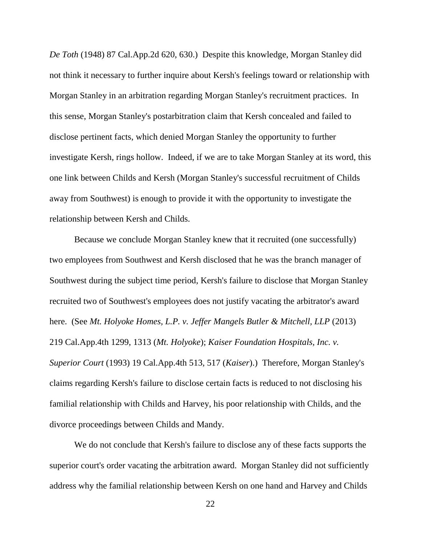*De Toth* (1948) 87 Cal.App.2d 620, 630.) Despite this knowledge, Morgan Stanley did not think it necessary to further inquire about Kersh's feelings toward or relationship with Morgan Stanley in an arbitration regarding Morgan Stanley's recruitment practices. In this sense, Morgan Stanley's postarbitration claim that Kersh concealed and failed to disclose pertinent facts, which denied Morgan Stanley the opportunity to further investigate Kersh, rings hollow. Indeed, if we are to take Morgan Stanley at its word, this one link between Childs and Kersh (Morgan Stanley's successful recruitment of Childs away from Southwest) is enough to provide it with the opportunity to investigate the relationship between Kersh and Childs.

Because we conclude Morgan Stanley knew that it recruited (one successfully) two employees from Southwest and Kersh disclosed that he was the branch manager of Southwest during the subject time period, Kersh's failure to disclose that Morgan Stanley recruited two of Southwest's employees does not justify vacating the arbitrator's award here. (See *Mt. Holyoke Homes, L.P. v. Jeffer Mangels Butler & Mitchell, LLP* (2013) 219 Cal.App.4th 1299, 1313 (*Mt. Holyoke*); *Kaiser Foundation Hospitals, Inc. v. Superior Court* (1993) 19 Cal.App.4th 513, 517 (*Kaiser*).) Therefore, Morgan Stanley's claims regarding Kersh's failure to disclose certain facts is reduced to not disclosing his familial relationship with Childs and Harvey, his poor relationship with Childs, and the divorce proceedings between Childs and Mandy.

We do not conclude that Kersh's failure to disclose any of these facts supports the superior court's order vacating the arbitration award. Morgan Stanley did not sufficiently address why the familial relationship between Kersh on one hand and Harvey and Childs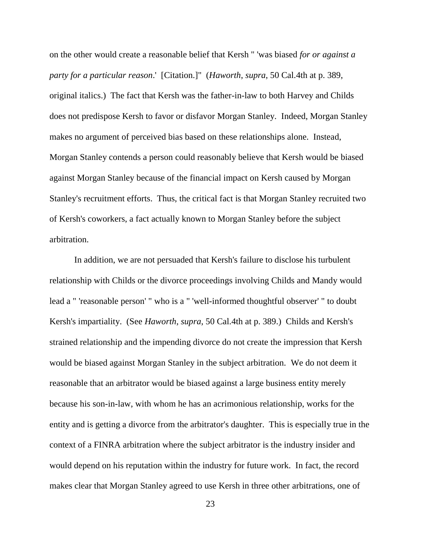on the other would create a reasonable belief that Kersh " 'was biased *for or against a party for a particular reason*.' [Citation.]" (*Haworth*, *supra*, 50 Cal.4th at p. 389, original italics.) The fact that Kersh was the father-in-law to both Harvey and Childs does not predispose Kersh to favor or disfavor Morgan Stanley. Indeed, Morgan Stanley makes no argument of perceived bias based on these relationships alone. Instead, Morgan Stanley contends a person could reasonably believe that Kersh would be biased against Morgan Stanley because of the financial impact on Kersh caused by Morgan Stanley's recruitment efforts. Thus, the critical fact is that Morgan Stanley recruited two of Kersh's coworkers, a fact actually known to Morgan Stanley before the subject arbitration.

In addition, we are not persuaded that Kersh's failure to disclose his turbulent relationship with Childs or the divorce proceedings involving Childs and Mandy would lead a " 'reasonable person' " who is a " 'well-informed thoughtful observer' " to doubt Kersh's impartiality. (See *Haworth*, *supra*, 50 Cal.4th at p. 389.) Childs and Kersh's strained relationship and the impending divorce do not create the impression that Kersh would be biased against Morgan Stanley in the subject arbitration. We do not deem it reasonable that an arbitrator would be biased against a large business entity merely because his son-in-law, with whom he has an acrimonious relationship, works for the entity and is getting a divorce from the arbitrator's daughter. This is especially true in the context of a FINRA arbitration where the subject arbitrator is the industry insider and would depend on his reputation within the industry for future work. In fact, the record makes clear that Morgan Stanley agreed to use Kersh in three other arbitrations, one of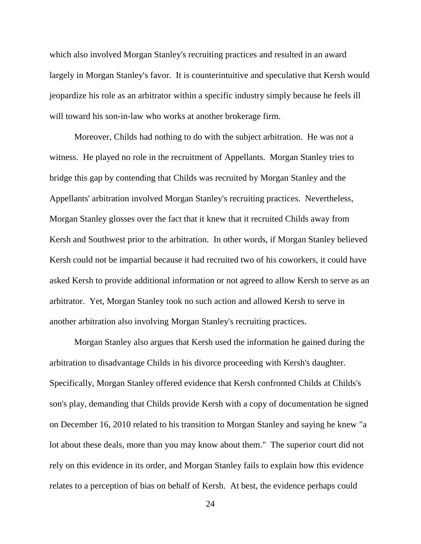which also involved Morgan Stanley's recruiting practices and resulted in an award largely in Morgan Stanley's favor. It is counterintuitive and speculative that Kersh would jeopardize his role as an arbitrator within a specific industry simply because he feels ill will toward his son-in-law who works at another brokerage firm.

Moreover, Childs had nothing to do with the subject arbitration. He was not a witness. He played no role in the recruitment of Appellants. Morgan Stanley tries to bridge this gap by contending that Childs was recruited by Morgan Stanley and the Appellants' arbitration involved Morgan Stanley's recruiting practices. Nevertheless, Morgan Stanley glosses over the fact that it knew that it recruited Childs away from Kersh and Southwest prior to the arbitration. In other words, if Morgan Stanley believed Kersh could not be impartial because it had recruited two of his coworkers, it could have asked Kersh to provide additional information or not agreed to allow Kersh to serve as an arbitrator. Yet, Morgan Stanley took no such action and allowed Kersh to serve in another arbitration also involving Morgan Stanley's recruiting practices.

Morgan Stanley also argues that Kersh used the information he gained during the arbitration to disadvantage Childs in his divorce proceeding with Kersh's daughter. Specifically, Morgan Stanley offered evidence that Kersh confronted Childs at Childs's son's play, demanding that Childs provide Kersh with a copy of documentation he signed on December 16, 2010 related to his transition to Morgan Stanley and saying he knew "a lot about these deals, more than you may know about them." The superior court did not rely on this evidence in its order, and Morgan Stanley fails to explain how this evidence relates to a perception of bias on behalf of Kersh. At best, the evidence perhaps could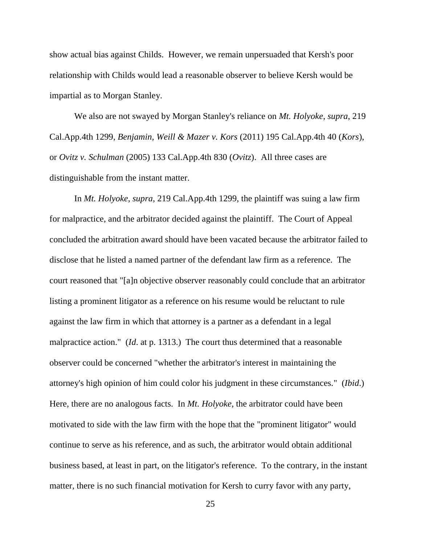show actual bias against Childs. However, we remain unpersuaded that Kersh's poor relationship with Childs would lead a reasonable observer to believe Kersh would be impartial as to Morgan Stanley.

We also are not swayed by Morgan Stanley's reliance on *Mt. Holyoke*, *supra*, 219 Cal.App.4th 1299, *Benjamin, Weill & Mazer v. Kors* (2011) 195 Cal.App.4th 40 (*Kors*), or *Ovitz v. Schulman* (2005) 133 Cal.App.4th 830 (*Ovitz*). All three cases are distinguishable from the instant matter.

In *Mt. Holyoke*, *supra*, 219 Cal.App.4th 1299, the plaintiff was suing a law firm for malpractice, and the arbitrator decided against the plaintiff. The Court of Appeal concluded the arbitration award should have been vacated because the arbitrator failed to disclose that he listed a named partner of the defendant law firm as a reference. The court reasoned that "[a]n objective observer reasonably could conclude that an arbitrator listing a prominent litigator as a reference on his resume would be reluctant to rule against the law firm in which that attorney is a partner as a defendant in a legal malpractice action." (*Id*. at p. 1313.) The court thus determined that a reasonable observer could be concerned "whether the arbitrator's interest in maintaining the attorney's high opinion of him could color his judgment in these circumstances." (*Ibid*.) Here, there are no analogous facts. In *Mt. Holyoke*, the arbitrator could have been motivated to side with the law firm with the hope that the "prominent litigator" would continue to serve as his reference, and as such, the arbitrator would obtain additional business based, at least in part, on the litigator's reference. To the contrary, in the instant matter, there is no such financial motivation for Kersh to curry favor with any party,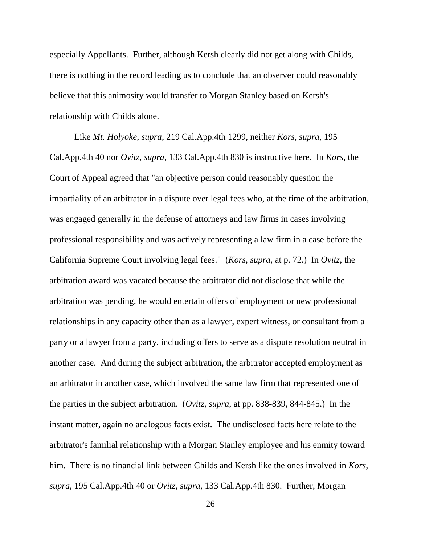especially Appellants. Further, although Kersh clearly did not get along with Childs, there is nothing in the record leading us to conclude that an observer could reasonably believe that this animosity would transfer to Morgan Stanley based on Kersh's relationship with Childs alone.

Like *Mt. Holyoke*, *supra*, 219 Cal.App.4th 1299, neither *Kors*, *supra*, 195 Cal.App.4th 40 nor *Ovitz, supra*, 133 Cal.App.4th 830 is instructive here. In *Kors*, the Court of Appeal agreed that "an objective person could reasonably question the impartiality of an arbitrator in a dispute over legal fees who, at the time of the arbitration, was engaged generally in the defense of attorneys and law firms in cases involving professional responsibility and was actively representing a law firm in a case before the California Supreme Court involving legal fees." (*Kors*, *supra*, at p. 72.) In *Ovitz*, the arbitration award was vacated because the arbitrator did not disclose that while the arbitration was pending, he would entertain offers of employment or new professional relationships in any capacity other than as a lawyer, expert witness, or consultant from a party or a lawyer from a party, including offers to serve as a dispute resolution neutral in another case. And during the subject arbitration, the arbitrator accepted employment as an arbitrator in another case, which involved the same law firm that represented one of the parties in the subject arbitration. (*Ovitz*, *supra*, at pp. 838-839, 844-845.) In the instant matter, again no analogous facts exist. The undisclosed facts here relate to the arbitrator's familial relationship with a Morgan Stanley employee and his enmity toward him. There is no financial link between Childs and Kersh like the ones involved in *Kors*, *supra*, 195 Cal.App.4th 40 or *Ovitz, supra*, 133 Cal.App.4th 830. Further, Morgan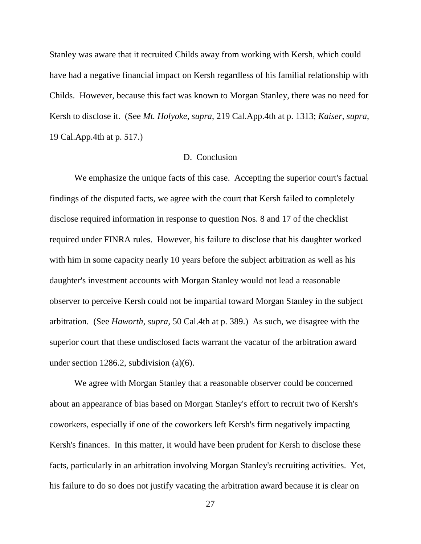Stanley was aware that it recruited Childs away from working with Kersh, which could have had a negative financial impact on Kersh regardless of his familial relationship with Childs. However, because this fact was known to Morgan Stanley, there was no need for Kersh to disclose it. (See *Mt. Holyoke*, *supra*, 219 Cal.App.4th at p. 1313; *Kaiser*, *supra*, 19 Cal.App.4th at p. 517.)

### D. Conclusion

We emphasize the unique facts of this case. Accepting the superior court's factual findings of the disputed facts, we agree with the court that Kersh failed to completely disclose required information in response to question Nos. 8 and 17 of the checklist required under FINRA rules. However, his failure to disclose that his daughter worked with him in some capacity nearly 10 years before the subject arbitration as well as his daughter's investment accounts with Morgan Stanley would not lead a reasonable observer to perceive Kersh could not be impartial toward Morgan Stanley in the subject arbitration. (See *Haworth*, *supra*, 50 Cal.4th at p. 389.) As such, we disagree with the superior court that these undisclosed facts warrant the vacatur of the arbitration award under section 1286.2, subdivision (a)(6).

We agree with Morgan Stanley that a reasonable observer could be concerned about an appearance of bias based on Morgan Stanley's effort to recruit two of Kersh's coworkers, especially if one of the coworkers left Kersh's firm negatively impacting Kersh's finances. In this matter, it would have been prudent for Kersh to disclose these facts, particularly in an arbitration involving Morgan Stanley's recruiting activities. Yet, his failure to do so does not justify vacating the arbitration award because it is clear on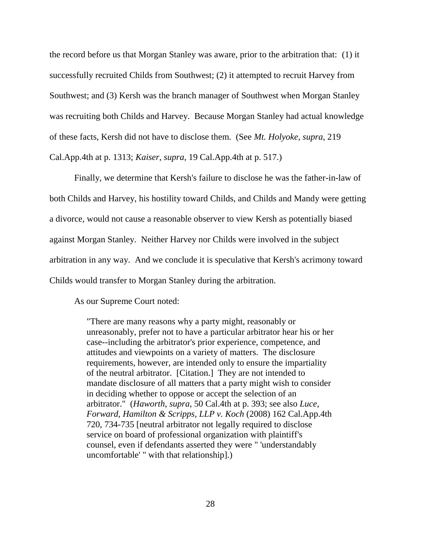the record before us that Morgan Stanley was aware, prior to the arbitration that: (1) it successfully recruited Childs from Southwest; (2) it attempted to recruit Harvey from Southwest; and (3) Kersh was the branch manager of Southwest when Morgan Stanley was recruiting both Childs and Harvey. Because Morgan Stanley had actual knowledge of these facts, Kersh did not have to disclose them. (See *Mt. Holyoke*, *supra*, 219 Cal.App.4th at p. 1313; *Kaiser*, *supra*, 19 Cal.App.4th at p. 517.)

Finally, we determine that Kersh's failure to disclose he was the father-in-law of both Childs and Harvey, his hostility toward Childs, and Childs and Mandy were getting a divorce, would not cause a reasonable observer to view Kersh as potentially biased against Morgan Stanley. Neither Harvey nor Childs were involved in the subject arbitration in any way. And we conclude it is speculative that Kersh's acrimony toward Childs would transfer to Morgan Stanley during the arbitration.

As our Supreme Court noted:

"There are many reasons why a party might, reasonably or unreasonably, prefer not to have a particular arbitrator hear his or her case--including the arbitrator's prior experience, competence, and attitudes and viewpoints on a variety of matters. The disclosure requirements, however, are intended only to ensure the impartiality of the neutral arbitrator. [Citation.] They are not intended to mandate disclosure of all matters that a party might wish to consider in deciding whether to oppose or accept the selection of an arbitrator." (*Haworth*, *supra*, 50 Cal.4th at p. 393; see also *Luce, Forward, Hamilton & Scripps, LLP v. Koch* (2008) 162 Cal.App.4th 720, 734-735 [neutral arbitrator not legally required to disclose service on board of professional organization with plaintiff's counsel, even if defendants asserted they were " 'understandably uncomfortable' " with that relationship].)